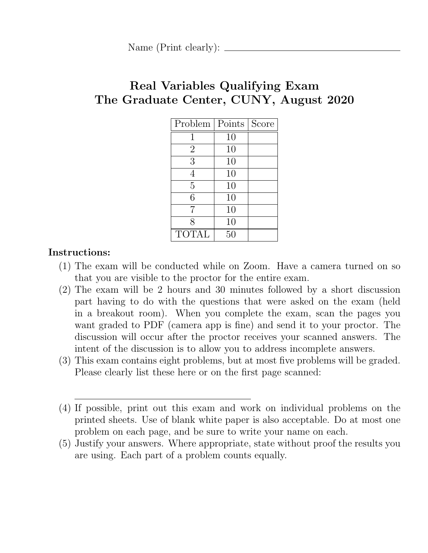Name (Print clearly):  $\_\_\_\_\_\_\_\_\_\_\_\_\_\_\_\_\_\_\_\_\_\_\_\_\_\_\_\_\_\_\_\_\_$ 

# Real Variables Qualifying Exam The Graduate Center, CUNY, August 2020

| Problem        | Points | Score |
|----------------|--------|-------|
|                | 10     |       |
| $\overline{2}$ | 10     |       |
| 3              | 10     |       |
|                | 10     |       |
| 5              | 10     |       |
| 6              | 10     |       |
| 7              | 10     |       |
| 8              | 10     |       |
| <b>TOTAL</b>   | 50     |       |

## Instructions:

- (1) The exam will be conducted while on Zoom. Have a camera turned on so that you are visible to the proctor for the entire exam.
- (2) The exam will be 2 hours and 30 minutes followed by a short discussion part having to do with the questions that were asked on the exam (held in a breakout room). When you complete the exam, scan the pages you want graded to PDF (camera app is fine) and send it to your proctor. The discussion will occur after the proctor receives your scanned answers. The intent of the discussion is to allow you to address incomplete answers.
- (3) This exam contains eight problems, but at most five problems will be graded. Please clearly list these here or on the first page scanned:

(5) Justify your answers. Where appropriate, state without proof the results you are using. Each part of a problem counts equally.

<sup>(4)</sup> If possible, print out this exam and work on individual problems on the printed sheets. Use of blank white paper is also acceptable. Do at most one problem on each page, and be sure to write your name on each.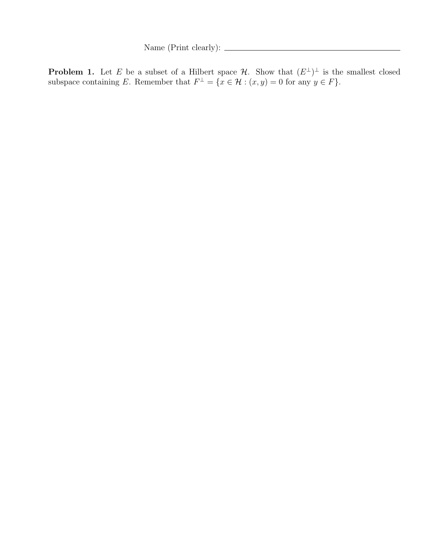Name (Print clearly):  $\frac{1}{\sqrt{1-\frac{1}{2}}\cdot\sqrt{1-\frac{1}{2}}\cdot\sqrt{1-\frac{1}{2}}\cdot\sqrt{1-\frac{1}{2}}\cdot\sqrt{1-\frac{1}{2}}\cdot\sqrt{1-\frac{1}{2}}\cdot\sqrt{1-\frac{1}{2}}\cdot\sqrt{1-\frac{1}{2}}\cdot\sqrt{1-\frac{1}{2}}\cdot\sqrt{1-\frac{1}{2}}\cdot\sqrt{1-\frac{1}{2}}\cdot\sqrt{1-\frac{1}{2}}\cdot\sqrt{1-\frac{1}{2}}\cdot\sqrt{1-\frac{1}{2}}\cdot\sqrt{1-\frac{1}{2}}\$ 

**Problem 1.** Let E be a subset of a Hilbert space  $\mathcal{H}$ . Show that  $(E^{\perp})^{\perp}$  is the smallest closed subspace containing E. Remember that  $F^{\perp} = \{x \in \mathcal{H} : (x, y) = 0 \text{ for any } y \in F\}.$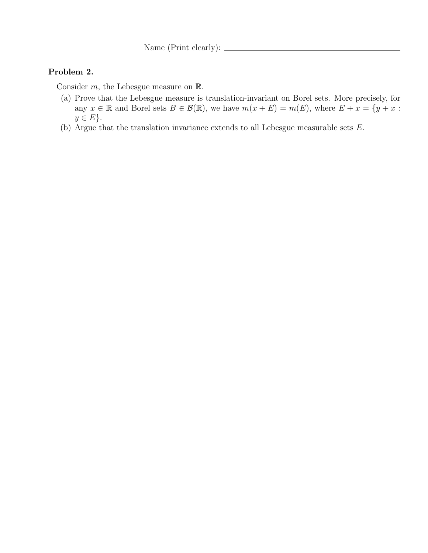Name (Print clearly):  $\frac{1}{\sqrt{1-\frac{1}{2}}\cdot\sqrt{1-\frac{1}{2}}\cdot\sqrt{1-\frac{1}{2}}\cdot\sqrt{1-\frac{1}{2}}}}$ 

#### Problem 2.

Consider  $m$ , the Lebesgue measure on  $\mathbb{R}$ .

- (a) Prove that the Lebesgue measure is translation-invariant on Borel sets. More precisely, for any  $x \in \mathbb{R}$  and Borel sets  $B \in \mathcal{B}(\mathbb{R})$ , we have  $m(x + E) = m(E)$ , where  $E + x = \{y + x :$  $y \in E$ .
- (b) Argue that the translation invariance extends to all Lebesgue measurable sets E.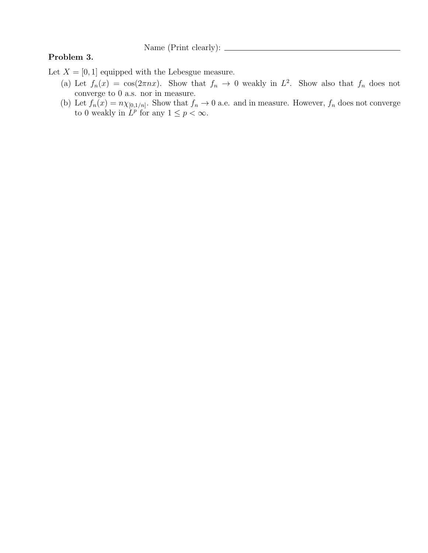Name (Print clearly):  $\frac{1}{\sqrt{1-\frac{1}{\sqrt{1-\frac{1}{\sqrt{1-\frac{1}{\sqrt{1-\frac{1}{\sqrt{1-\frac{1}{\sqrt{1-\frac{1}{\sqrt{1-\frac{1}{\sqrt{1-\frac{1}{\sqrt{1-\frac{1}{\sqrt{1-\frac{1}{\sqrt{1-\frac{1}{\sqrt{1-\frac{1}{\sqrt{1-\frac{1}{\sqrt{1-\frac{1}{\sqrt{1-\frac{1}{\sqrt{1-\frac{1}{\sqrt{1-\frac{1}{\sqrt{1-\frac{1}{\sqrt{1-\frac{1}{\sqrt{1-\frac{1}{\sqrt{1-\frac{1}{\sqrt{1-\$ 

#### Problem 3.

Let  $X = [0, 1]$  equipped with the Lebesgue measure.

- (a) Let  $f_n(x) = \cos(2\pi nx)$ . Show that  $f_n \to 0$  weakly in  $L^2$ . Show also that  $f_n$  does not converge to 0 a.s. nor in measure.
- (b) Let  $f_n(x) = n \chi_{[0,1/n]}$ . Show that  $f_n \to 0$  a.e. and in measure. However,  $f_n$  does not converge to 0 weakly in  $L^p$  for any  $1 \leq p < \infty$ .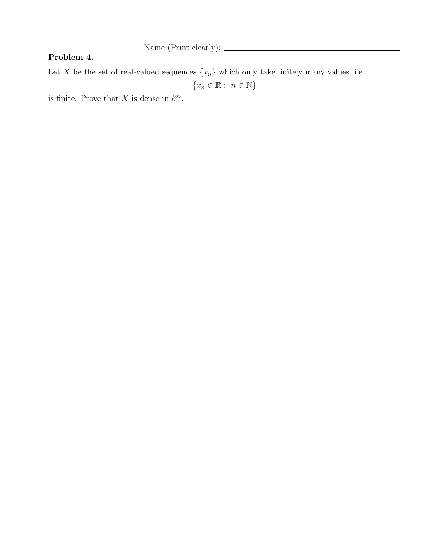#### Problem 4.

Let X be the set of real-valued sequences  $\{x_n\}$  which only take finitely many values, i.e.,

 ${x_n \in \mathbb{R} : n \in \mathbb{N}}$ 

is finite. Prove that X is dense in  $\ell^{\infty}$ .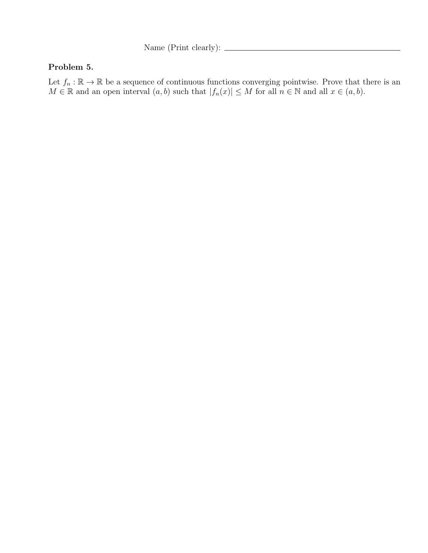Name (Print clearly):  $\frac{1}{\sqrt{1-\frac{1}{2}}\cdot\sqrt{1-\frac{1}{2}}\cdot\sqrt{1-\frac{1}{2}}\cdot\sqrt{1-\frac{1}{2}}\cdot\sqrt{1-\frac{1}{2}}\cdot\sqrt{1-\frac{1}{2}}\cdot\sqrt{1-\frac{1}{2}}\cdot\sqrt{1-\frac{1}{2}}\cdot\sqrt{1-\frac{1}{2}}\cdot\sqrt{1-\frac{1}{2}}\cdot\sqrt{1-\frac{1}{2}}\cdot\sqrt{1-\frac{1}{2}}\cdot\sqrt{1-\frac{1}{2}}\cdot\sqrt{1-\frac{1}{2}}\cdot\sqrt{1-\frac{1}{2}}\$ 

### Problem 5.

Let  $f_n : \mathbb{R} \to \mathbb{R}$  be a sequence of continuous functions converging pointwise. Prove that there is an  $M \in \mathbb{R}$  and an open interval  $(a, b)$  such that  $|f_n(x)| \leq M$  for all  $n \in \mathbb{N}$  and all  $x \in (a, b)$ .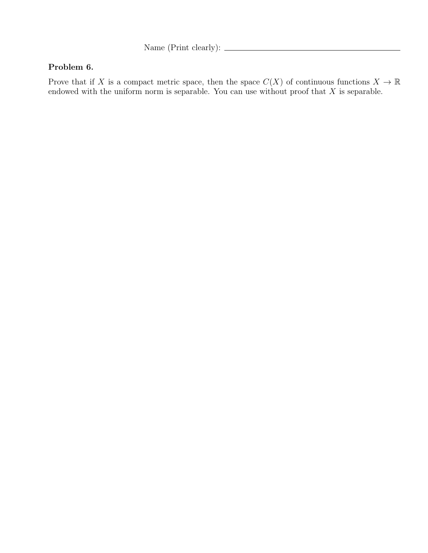Name (Print clearly):

## Problem 6.

Prove that if X is a compact metric space, then the space  $C(X)$  of continuous functions  $X \to \mathbb{R}$ endowed with the uniform norm is separable. You can use without proof that  $X$  is separable.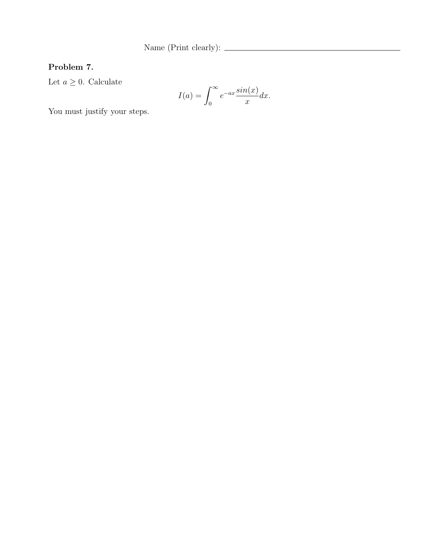Name (Print clearly):

# Problem 7.

Let  $a \geq 0$ . Calculate

$$
I(a) = \int_0^\infty e^{-ax} \frac{\sin(x)}{x} dx.
$$

You must justify your steps.